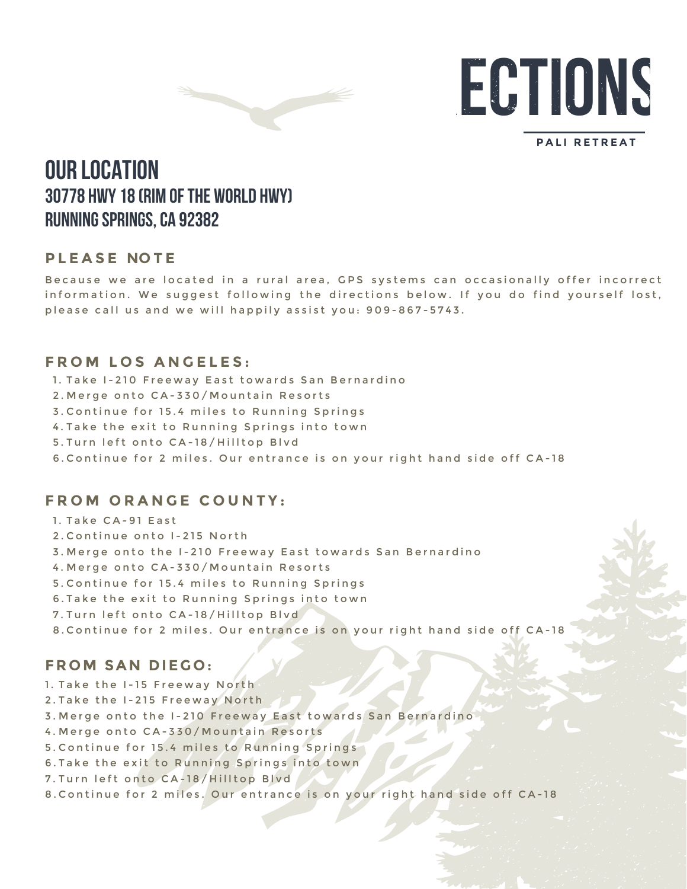

**DIRECTIONS**

#### **PALI RETREAT**

# **OUR LOCATION 30778 Hwy 18 (Rim of the World Hwy) Running Springs, CA 92382**

### **PLEASE NOTE**

Because we are located in a rural area, GPS systems can occasionally offer incorrect information. We suggest following the directions below. If you do find yourself lost, p lease call us and we will happily assist you: 909-867-5743.

### **FROM LOS ANGELES:**

- 1. Take I-210 Freeway East towards San Bernardino
- 2.Merge onto CA-330/Mountain Resorts
- 3.Continue for 15.4 miles to Running Springs
- 4.Take the exit to Running Springs into town
- 5.Turn left onto CA-18/Hilltop Blvd
- 6.Continue for 2 miles. Our entrance is on your right hand side off CA-18

## **FROM ORANGE COUNTY:**

- 1. Take CA-91 East
- 2.Continue onto I-215 North
- 3.Merge onto the I-210 Freeway East towards San Bernardino
- 4.Merge onto CA-330/Mountain Resorts
- 5.Continue for 15.4 miles to Running Springs
- 6.Take the exit to Running Springs into town
- 7.Turn left onto CA-18/Hilltop Blvd
- 8.Continue for 2 miles. Our entrance is on your right hand side off CA-18

### **FROM SAN DIEGO:**

- 1. Take the I-15 Freeway North
- 2.Take the I-215 Freeway North
- 3.Merge onto the I-210 Freeway East towards San Bernardino
- 4.Merge onto CA-330/Mountain Resorts
- 5.Continue for 15.4 miles to Running Springs
- 6.Take the exit to Running Springs into town
- 7.Turn left onto CA-18/Hilltop Blvd
- 8.Continue for 2 miles. Our entrance is on your right hand side off CA-18